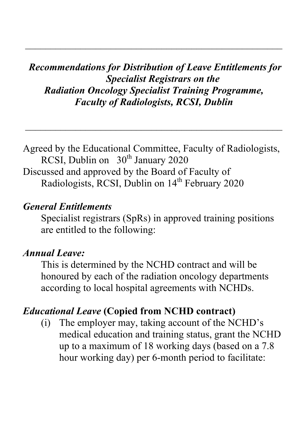*Recommendations for Distribution of Leave Entitlements for Specialist Registrars on the Radiation Oncology Specialist Training Programme, Faculty of Radiologists, RCSI, Dublin*

 $\mathcal{L}_\text{max}$  and  $\mathcal{L}_\text{max}$  and  $\mathcal{L}_\text{max}$  and  $\mathcal{L}_\text{max}$  and  $\mathcal{L}_\text{max}$  and  $\mathcal{L}_\text{max}$ 

Agreed by the Educational Committee, Faculty of Radiologists, RCSI, Dublin on  $30<sup>th</sup>$  January 2020 Discussed and approved by the Board of Faculty of Radiologists, RCSI, Dublin on 14<sup>th</sup> February 2020

#### *General Entitlements*

Specialist registrars (SpRs) in approved training positions are entitled to the following:

#### *Annual Leave:*

This is determined by the NCHD contract and will be honoured by each of the radiation oncology departments according to local hospital agreements with NCHDs.

### *Educational Leave* **(Copied from NCHD contract)**

(i) The employer may, taking account of the NCHD's medical education and training status, grant the NCHD up to a maximum of 18 working days (based on a 7.8 hour working day) per 6-month period to facilitate: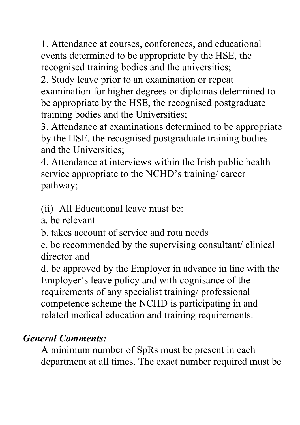1. Attendance at courses, conferences, and educational events determined to be appropriate by the HSE, the recognised training bodies and the universities;

2. Study leave prior to an examination or repeat examination for higher degrees or diplomas determined to be appropriate by the HSE, the recognised postgraduate training bodies and the Universities;

3. Attendance at examinations determined to be appropriate by the HSE, the recognised postgraduate training bodies and the Universities;

4. Attendance at interviews within the Irish public health service appropriate to the NCHD's training/ career pathway;

(ii) All Educational leave must be:

a. be relevant

b. takes account of service and rota needs

c. be recommended by the supervising consultant/ clinical director and

d. be approved by the Employer in advance in line with the Employer's leave policy and with cognisance of the requirements of any specialist training/ professional competence scheme the NCHD is participating in and related medical education and training requirements.

# *General Comments:*

A minimum number of SpRs must be present in each department at all times. The exact number required must be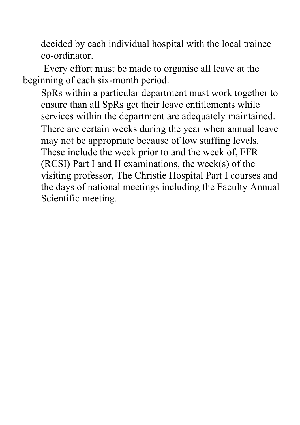decided by each individual hospital with the local trainee co-ordinator.

Every effort must be made to organise all leave at the beginning of each six-month period.

SpRs within a particular department must work together to ensure than all SpRs get their leave entitlements while services within the department are adequately maintained. There are certain weeks during the year when annual leave may not be appropriate because of low staffing levels. These include the week prior to and the week of, FFR (RCSI) Part I and II examinations, the week(s) of the visiting professor, The Christie Hospital Part I courses and the days of national meetings including the Faculty Annual Scientific meeting.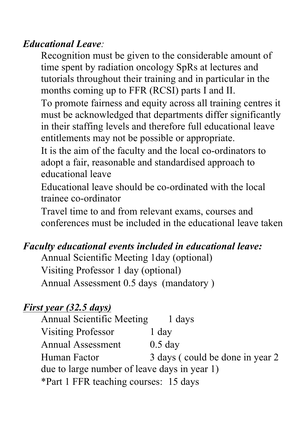### *Educational Leave:*

Recognition must be given to the considerable amount of time spent by radiation oncology SpRs at lectures and tutorials throughout their training and in particular in the months coming up to FFR (RCSI) parts I and II.

To promote fairness and equity across all training centres it must be acknowledged that departments differ significantly in their staffing levels and therefore full educational leave entitlements may not be possible or appropriate.

It is the aim of the faculty and the local co-ordinators to adopt a fair, reasonable and standardised approach to educational leave

Educational leave should be co-ordinated with the local trainee co-ordinator

Travel time to and from relevant exams, courses and conferences must be included in the educational leave taken

## *Faculty educational events included in educational leave:*

Annual Scientific Meeting 1day (optional) Visiting Professor 1 day (optional) Annual Assessment 0.5 days (mandatory )

# *First year (32.5 days)*

Annual Scientific Meeting 1 days Visiting Professor 1 day Annual Assessment 0.5 day Human Factor 3 days ( could be done in year 2 due to large number of leave days in year 1) \*Part 1 FFR teaching courses: 15 days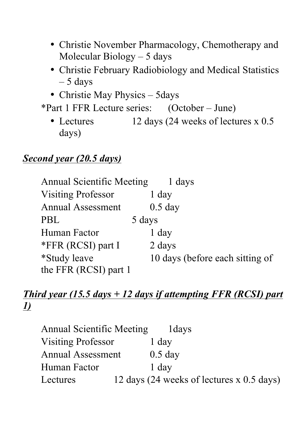- Christie November Pharmacology, Chemotherapy and Molecular Biology – 5 days
- Christie February Radiobiology and Medical Statistics  $-5$  days
- Christie May Physics 5days
- \*Part 1 FFR Lecture series: (October June)
	- Lectures 12 days (24 weeks of lectures x 0.5 days)

#### *Second year (20.5 days)*

| <b>Annual Scientific Meeting</b> | 1 days                          |
|----------------------------------|---------------------------------|
| <b>Visiting Professor</b>        | 1 day                           |
| <b>Annual Assessment</b>         | $0.5$ day                       |
| <b>PBL</b>                       | 5 days                          |
| Human Factor                     | 1 day                           |
| *FFR (RCSI) part I               | 2 days                          |
| <i>*Study leave</i>              | 10 days (before each sitting of |
| the FFR (RCSI) part 1            |                                 |

## *Third year (15.5 days + 12 days if attempting FFR (RCSI) part 1)*

| <b>Annual Scientific Meeting</b> | 1 days                                    |
|----------------------------------|-------------------------------------------|
| <b>Visiting Professor</b>        | 1 day                                     |
| <b>Annual Assessment</b>         | $0.5$ day                                 |
| Human Factor                     | 1 day                                     |
| Lectures                         | 12 days (24 weeks of lectures x 0.5 days) |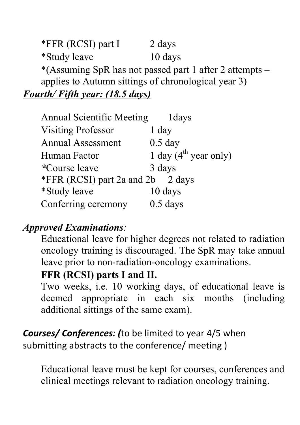\*FFR (RCSI) part I 2 days \*Study leave 10 days \*(Assuming SpR has not passed part 1 after 2 attempts – applies to Autumn sittings of chronological year 3) *Fourth/ Fifth year: (18.5 days)*

| <b>Annual Scientific Meeting</b>  | 1 days                            |
|-----------------------------------|-----------------------------------|
| <b>Visiting Professor</b>         | 1 day                             |
| <b>Annual Assessment</b>          | $0.5$ day                         |
| Human Factor                      | 1 day $(4^{\text{th}}$ year only) |
| <i>*Course leave</i>              | 3 days                            |
| *FFR (RCSI) part 2a and 2b 2 days |                                   |
| <i>*Study leave</i>               | 10 days                           |
| Conferring ceremony               | $0.5$ days                        |

#### *Approved Examinations:*

Educational leave for higher degrees not related to radiation oncology training is discouraged. The SpR may take annual leave prior to non-radiation-oncology examinations.

#### **FFR (RCSI) parts I and II.**

Two weeks, i.e. 10 working days, of educational leave is deemed appropriate in each six months (including additional sittings of the same exam).

**Courses/ Conferences:** (to be limited to year 4/5 when submitting abstracts to the conference/ meeting )

Educational leave must be kept for courses, conferences and clinical meetings relevant to radiation oncology training.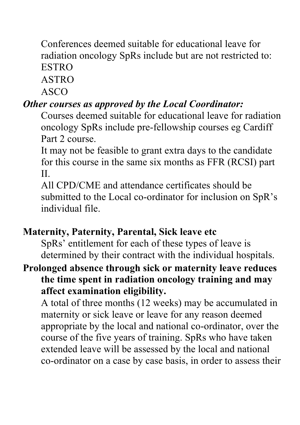Conferences deemed suitable for educational leave for radiation oncology SpRs include but are not restricted to: ESTRO

ASTRO

ASCO

# *Other courses as approved by the Local Coordinator:*

Courses deemed suitable for educational leave for radiation oncology SpRs include pre-fellowship courses eg Cardiff Part 2 course.

It may not be feasible to grant extra days to the candidate for this course in the same six months as FFR (RCSI) part II.

All CPD/CME and attendance certificates should be submitted to the Local co-ordinator for inclusion on SpR's individual file.

### **Maternity, Paternity, Parental, Sick leave etc**

SpRs' entitlement for each of these types of leave is determined by their contract with the individual hospitals.

## **Prolonged absence through sick or maternity leave reduces the time spent in radiation oncology training and may affect examination eligibility.**

A total of three months (12 weeks) may be accumulated in maternity or sick leave or leave for any reason deemed appropriate by the local and national co-ordinator, over the course of the five years of training. SpRs who have taken extended leave will be assessed by the local and national co-ordinator on a case by case basis, in order to assess their